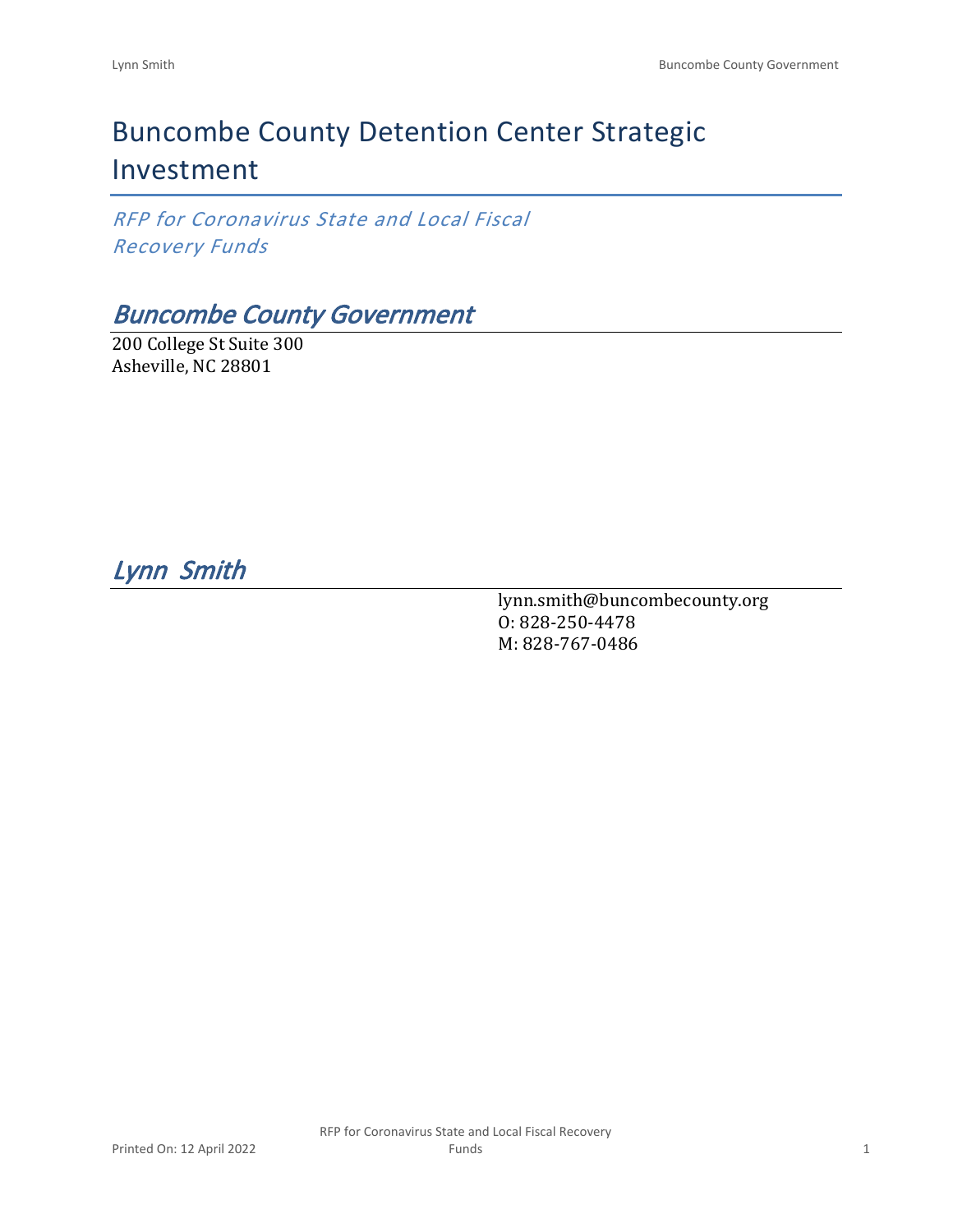# Buncombe County Detention Center Strategic Investment

*RFP for Coronavirus State and Local Fiscal Recovery Funds*

# *Buncombe County Government*

200 College St Suite 300 Asheville, NC 28801

*Lynn Smith* 

lynn.smith@buncombecounty.org O: 828-250-4478 M: 828-767-0486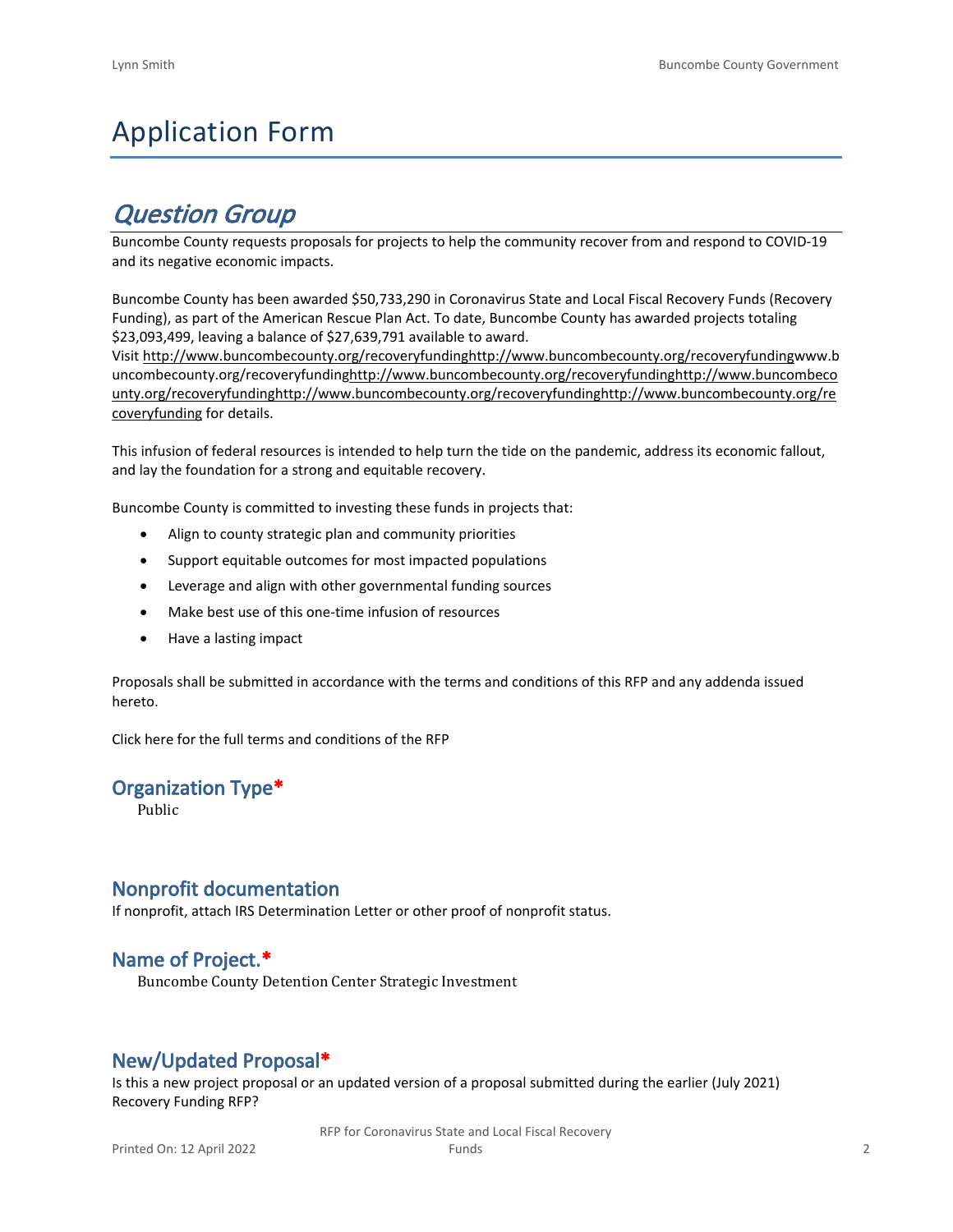# Application Form

# *Question Group*

Buncombe County requests proposals for projects to help the community recover from and respond to COVID-19 and its negative economic impacts.

Buncombe County has been awarded \$50,733,290 in Coronavirus State and Local Fiscal Recovery Funds (Recovery Funding), as part of the American Rescue Plan Act. To date, Buncombe County has awarded projects totaling \$23,093,499, leaving a balance of \$27,639,791 available to award.

Visit [http://www.buncombecounty.org/recoveryfundinghttp://www.buncombecounty.org/recoveryfundingwww.b](http://www.buncombecounty.org/recoveryfunding) [uncombecounty.org/recoveryfundinghttp://www.buncombecounty.org/recoveryfundinghttp://www.buncombeco](http://www.buncombecounty.org/recoveryfunding) [unty.org/recoveryfundinghttp://www.buncombecounty.org/recoveryfundinghttp://www.buncombecounty.org/re](http://www.buncombecounty.org/recoveryfunding) [coveryfunding](http://www.buncombecounty.org/recoveryfunding) for details.

This infusion of federal resources is intended to help turn the tide on the pandemic, address its economic fallout, and lay the foundation for a strong and equitable recovery.

Buncombe County is committed to investing these funds in projects that:

- Align to county strategic plan and community priorities
- Support equitable outcomes for most impacted populations
- Leverage and align with other governmental funding sources
- Make best use of this one-time infusion of resources
- Have a lasting impact

Proposals shall be submitted in accordance with the terms and conditions of this RFP and any addenda issued hereto.

Click [here](https://www.buncombecounty.org/common/purchasing/Buncombe%20Recovery%20Funding%20RFP%202022.pdf) for the full terms and conditions of the RFP

# **Organization Type\***

Public

# **Nonprofit documentation**

If nonprofit, attach IRS Determination Letter or other proof of nonprofit status.

# **Name of Project.\***

Buncombe County Detention Center Strategic Investment

# **New/Updated Proposal\***

Is this a new project proposal or an updated version of a proposal submitted during the earlier (July 2021) Recovery Funding RFP?

> RFP for Coronavirus State and Local Fiscal Recovery Funds 2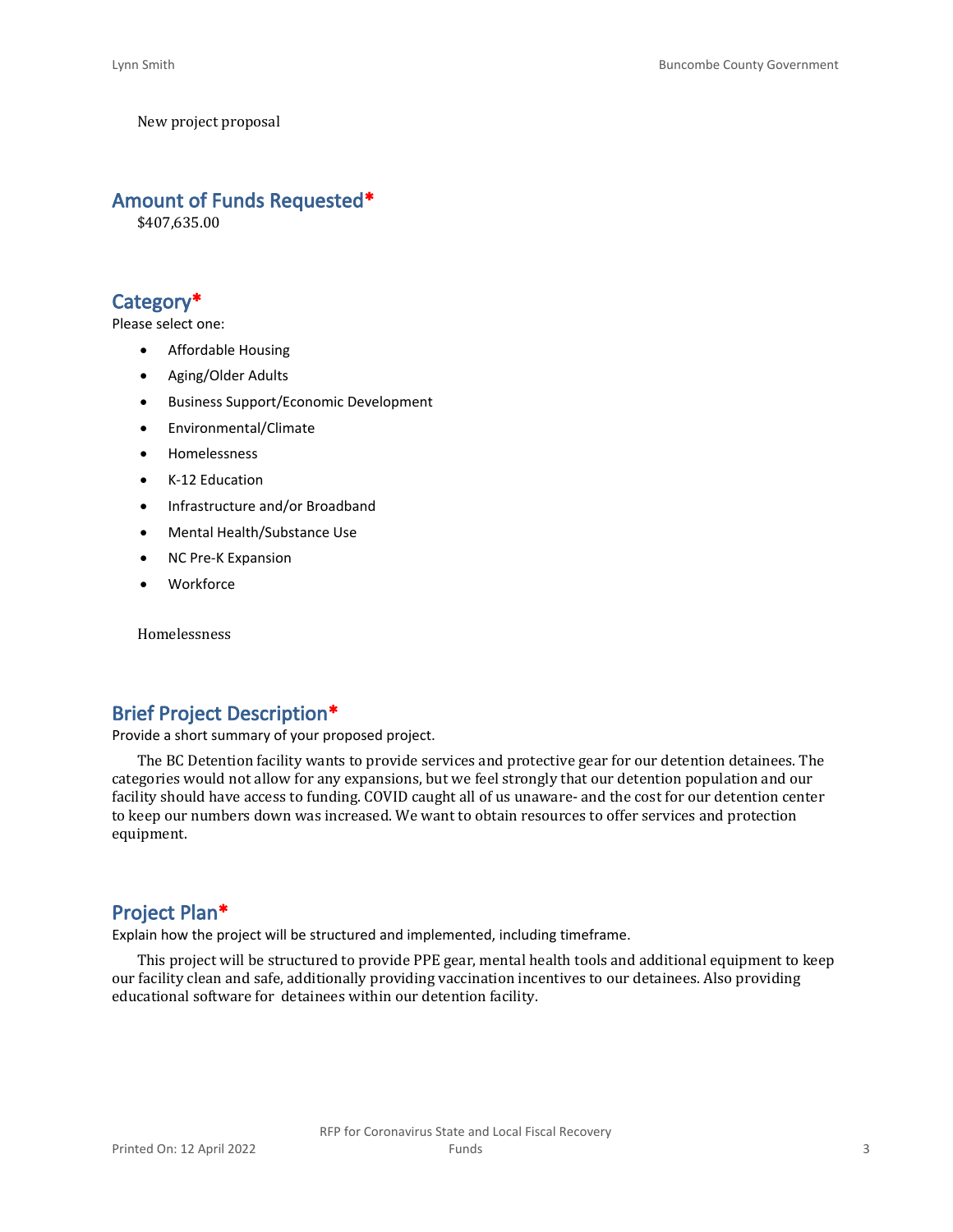New project proposal

# **Amount of Funds Requested\***

\$407,635.00

# **Category\***

Please select one:

- Affordable Housing
- Aging/Older Adults
- Business Support/Economic Development
- Environmental/Climate
- Homelessness
- K-12 Education
- Infrastructure and/or Broadband
- Mental Health/Substance Use
- NC Pre-K Expansion
- Workforce

Homelessness

# **Brief Project Description\***

Provide a short summary of your proposed project.

The BC Detention facility wants to provide services and protective gear for our detention detainees. The categories would not allow for any expansions, but we feel strongly that our detention population and our facility should have access to funding. COVID caught all of us unaware- and the cost for our detention center to keep our numbers down was increased. We want to obtain resources to offer services and protection equipment.

# **Project Plan\***

Explain how the project will be structured and implemented, including timeframe.

This project will be structured to provide PPE gear, mental health tools and additional equipment to keep our facility clean and safe, additionally providing vaccination incentives to our detainees. Also providing educational software for detainees within our detention facility.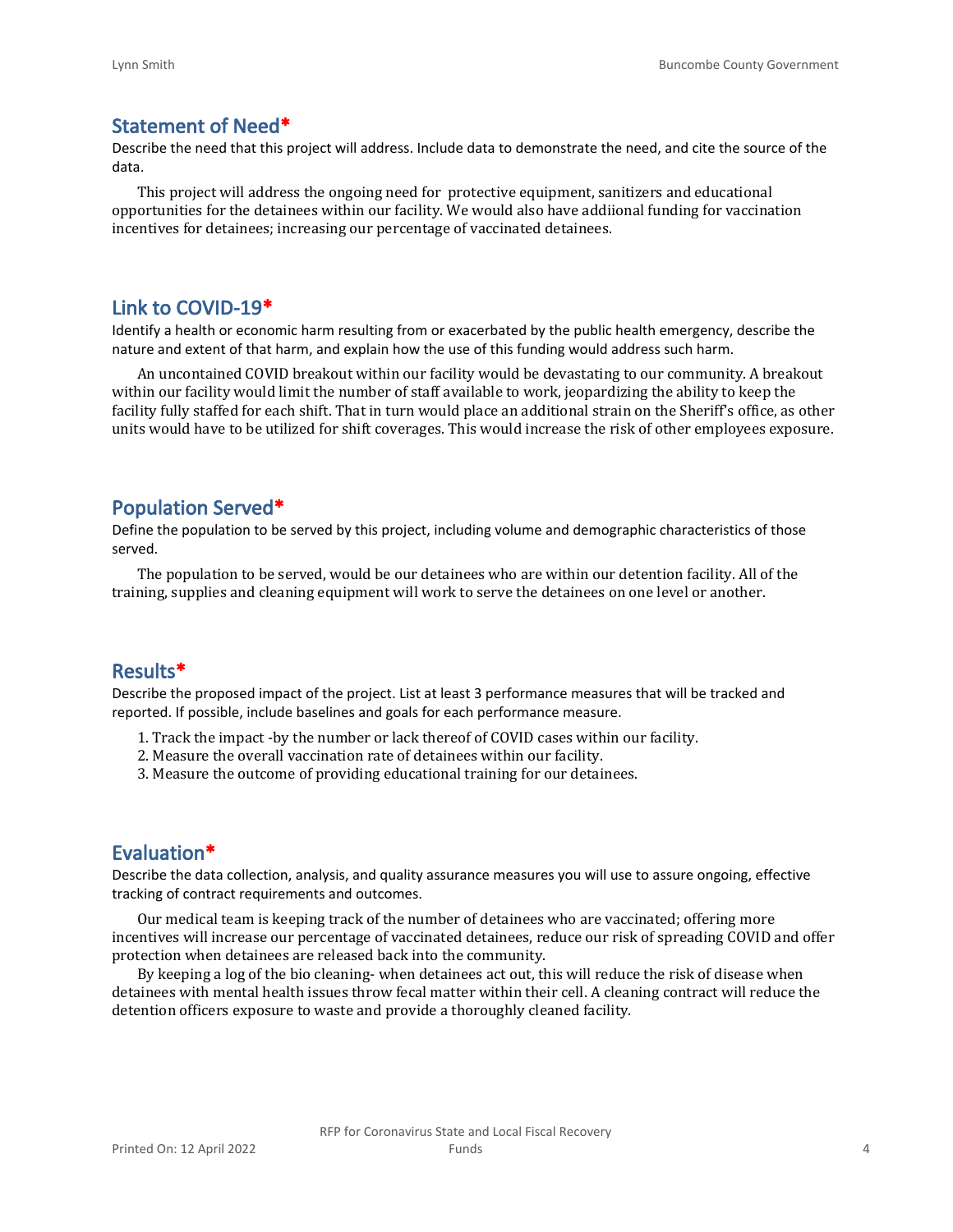# **Statement of Need\***

Describe the need that this project will address. Include data to demonstrate the need, and cite the source of the data.

This project will address the ongoing need for protective equipment, sanitizers and educational opportunities for the detainees within our facility. We would also have addiional funding for vaccination incentives for detainees; increasing our percentage of vaccinated detainees.

#### **Link to COVID-19\***

Identify a health or economic harm resulting from or exacerbated by the public health emergency, describe the nature and extent of that harm, and explain how the use of this funding would address such harm.

An uncontained COVID breakout within our facility would be devastating to our community. A breakout within our facility would limit the number of staff available to work, jeopardizing the ability to keep the facility fully staffed for each shift. That in turn would place an additional strain on the Sheriff's office, as other units would have to be utilized for shift coverages. This would increase the risk of other employees exposure.

### **Population Served\***

Define the population to be served by this project, including volume and demographic characteristics of those served.

The population to be served, would be our detainees who are within our detention facility. All of the training, supplies and cleaning equipment will work to serve the detainees on one level or another.

## **Results\***

Describe the proposed impact of the project. List at least 3 performance measures that will be tracked and reported. If possible, include baselines and goals for each performance measure.

- 1. Track the impact -by the number or lack thereof of COVID cases within our facility.
- 2. Measure the overall vaccination rate of detainees within our facility.
- 3. Measure the outcome of providing educational training for our detainees.

### **Evaluation\***

Describe the data collection, analysis, and quality assurance measures you will use to assure ongoing, effective tracking of contract requirements and outcomes.

Our medical team is keeping track of the number of detainees who are vaccinated; offering more incentives will increase our percentage of vaccinated detainees, reduce our risk of spreading COVID and offer protection when detainees are released back into the community.

By keeping a log of the bio cleaning- when detainees act out, this will reduce the risk of disease when detainees with mental health issues throw fecal matter within their cell. A cleaning contract will reduce the detention officers exposure to waste and provide a thoroughly cleaned facility.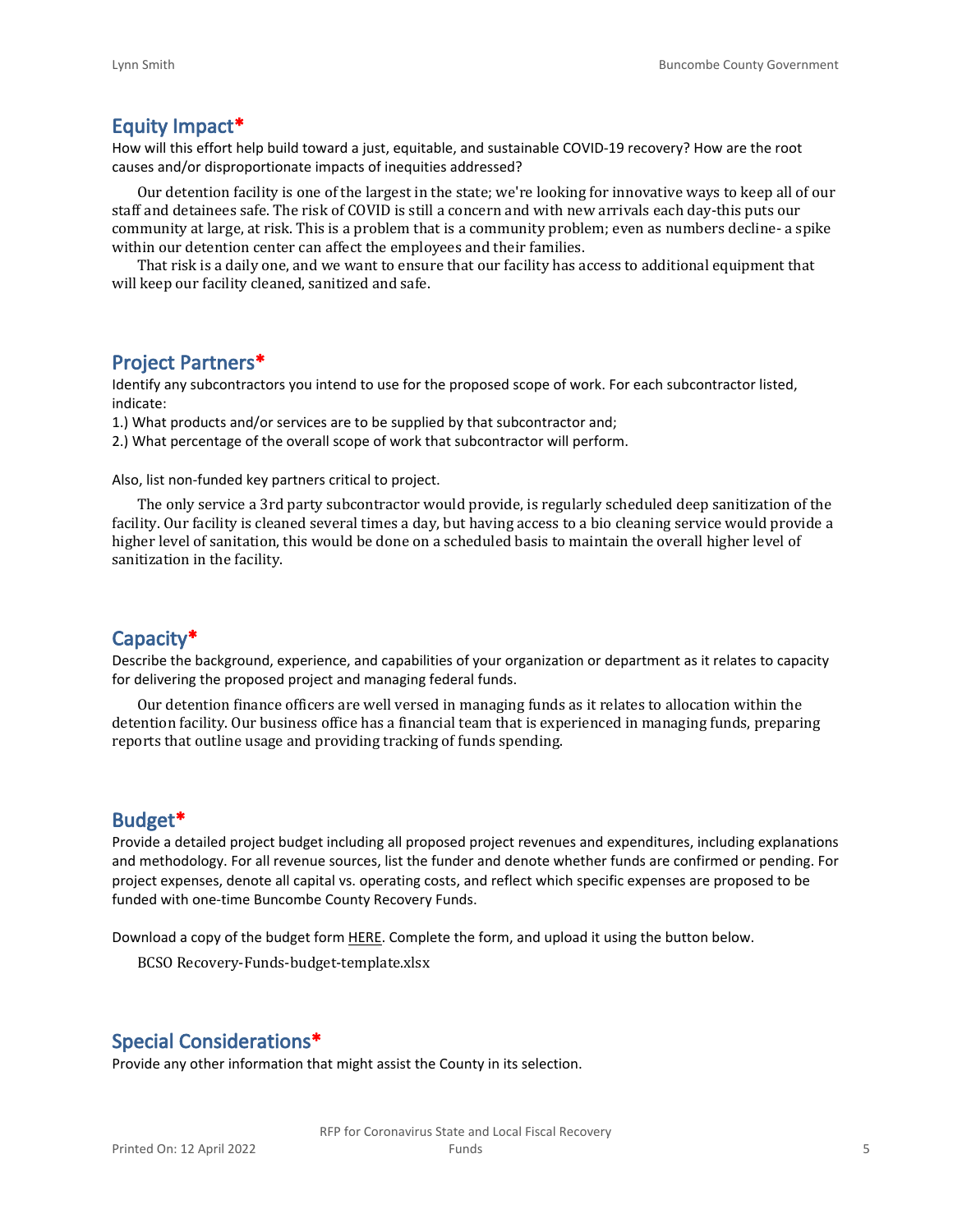#### **Equity Impact\***

How will this effort help build toward a just, equitable, and sustainable COVID-19 recovery? How are the root causes and/or disproportionate impacts of inequities addressed?

Our detention facility is one of the largest in the state; we're looking for innovative ways to keep all of our staff and detainees safe. The risk of COVID is still a concern and with new arrivals each day-this puts our community at large, at risk. This is a problem that is a community problem; even as numbers decline- a spike within our detention center can affect the employees and their families.

That risk is a daily one, and we want to ensure that our facility has access to additional equipment that will keep our facility cleaned, sanitized and safe.

#### **Project Partners\***

Identify any subcontractors you intend to use for the proposed scope of work. For each subcontractor listed, indicate:

1.) What products and/or services are to be supplied by that subcontractor and;

2.) What percentage of the overall scope of work that subcontractor will perform.

Also, list non-funded key partners critical to project.

The only service a 3rd party subcontractor would provide, is regularly scheduled deep sanitization of the facility. Our facility is cleaned several times a day, but having access to a bio cleaning service would provide a higher level of sanitation, this would be done on a scheduled basis to maintain the overall higher level of sanitization in the facility.

### **Capacity\***

Describe the background, experience, and capabilities of your organization or department as it relates to capacity for delivering the proposed project and managing federal funds.

Our detention finance officers are well versed in managing funds as it relates to allocation within the detention facility. Our business office has a financial team that is experienced in managing funds, preparing reports that outline usage and providing tracking of funds spending.

#### **Budget\***

Provide a detailed project budget including all proposed project revenues and expenditures, including explanations and methodology. For all revenue sources, list the funder and denote whether funds are confirmed or pending. For project expenses, denote all capital vs. operating costs, and reflect which specific expenses are proposed to be funded with one-time Buncombe County Recovery Funds.

Download a copy of the budget form [HERE](https://buncombecounty.org/common/community-investment/grants/early-childhood-education/Recovery-Funds-budget-template.xlsx). Complete the form, and upload it using the button below.

BCSO Recovery-Funds-budget-template.xlsx

# **Special Considerations\***

Provide any other information that might assist the County in its selection.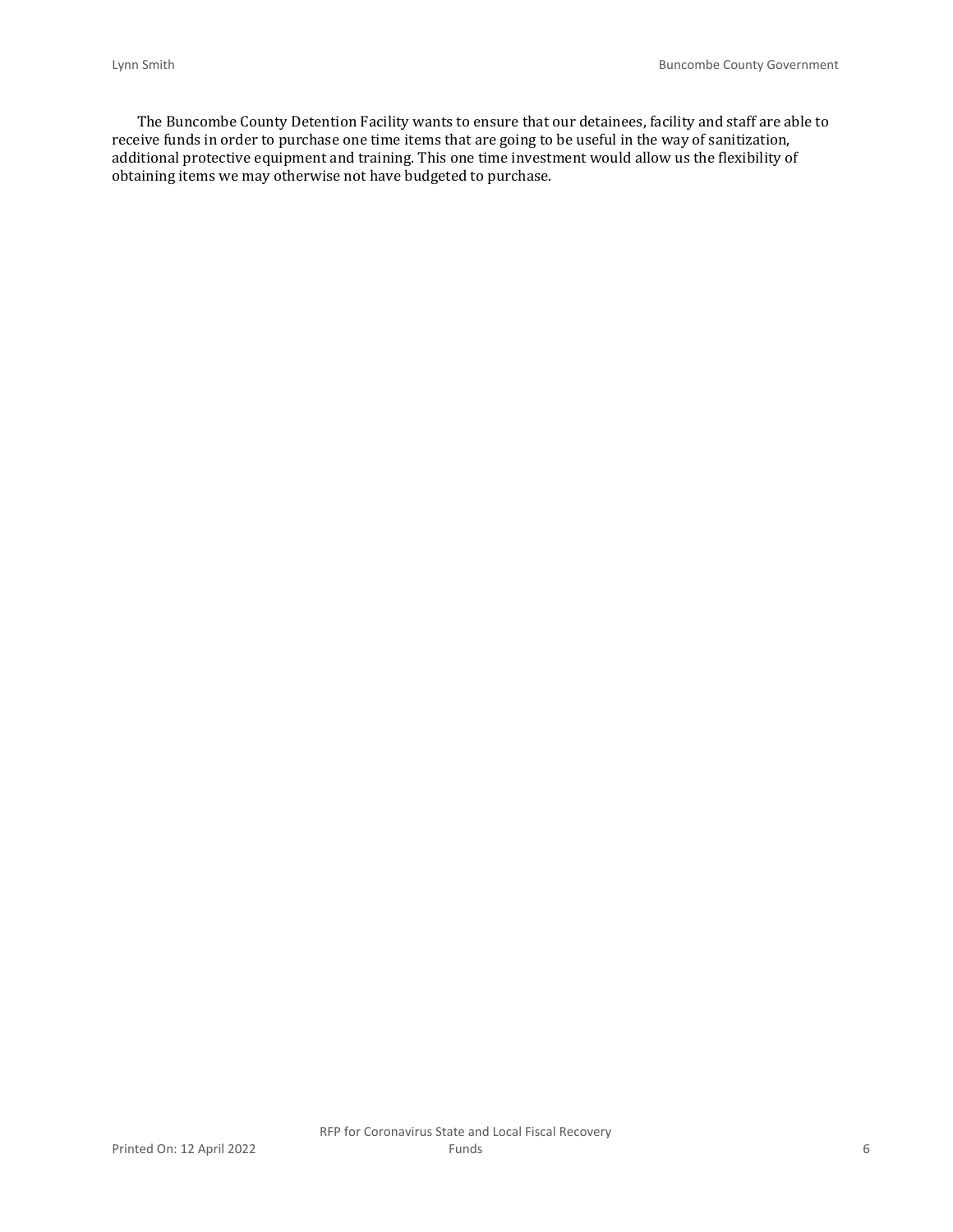The Buncombe County Detention Facility wants to ensure that our detainees, facility and staff are able to receive funds in order to purchase one time items that are going to be useful in the way of sanitization, additional protective equipment and training. This one time investment would allow us the flexibility of obtaining items we may otherwise not have budgeted to purchase.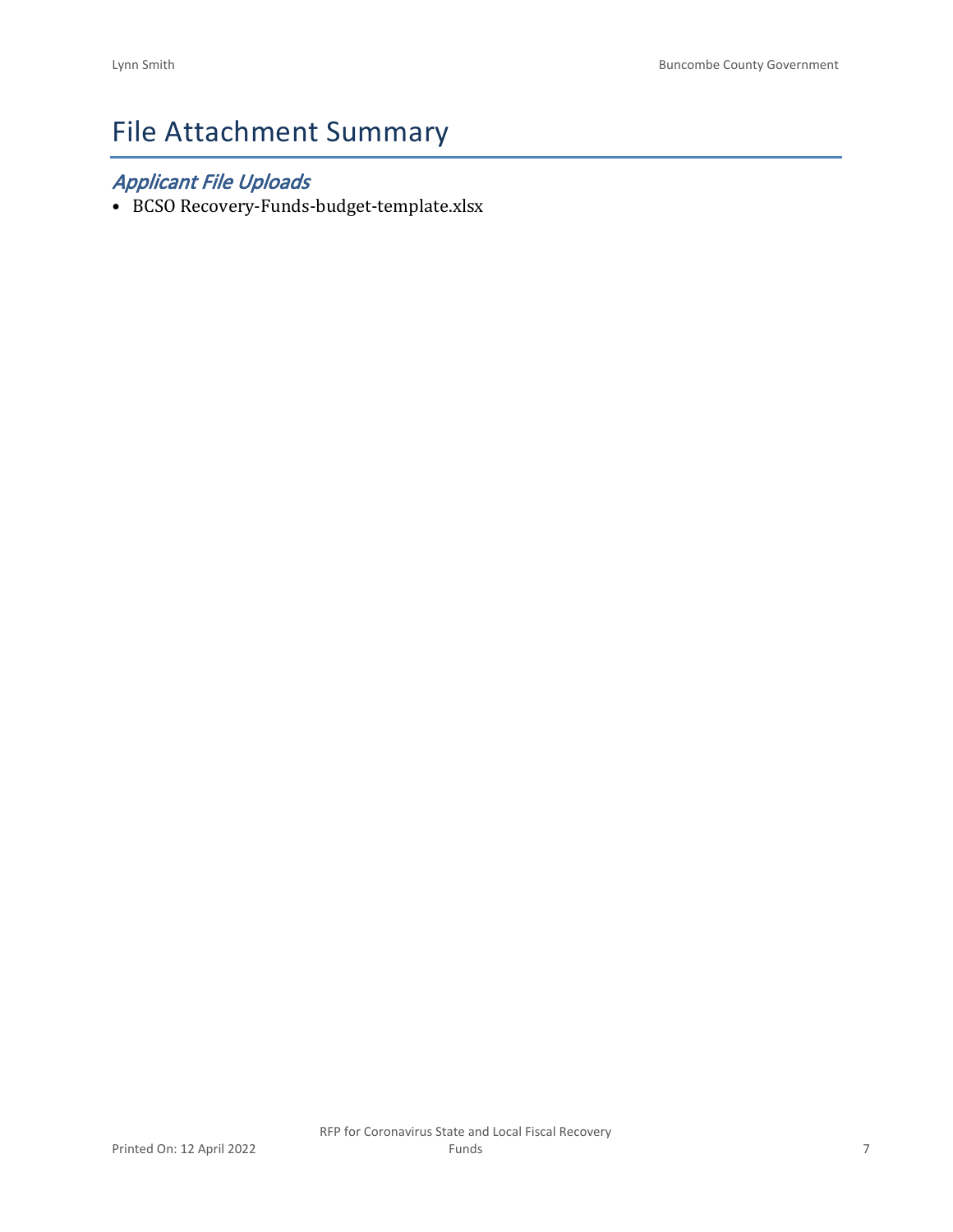# File Attachment Summary

# *Applicant File Uploads*

• BCSO Recovery-Funds-budget-template.xlsx